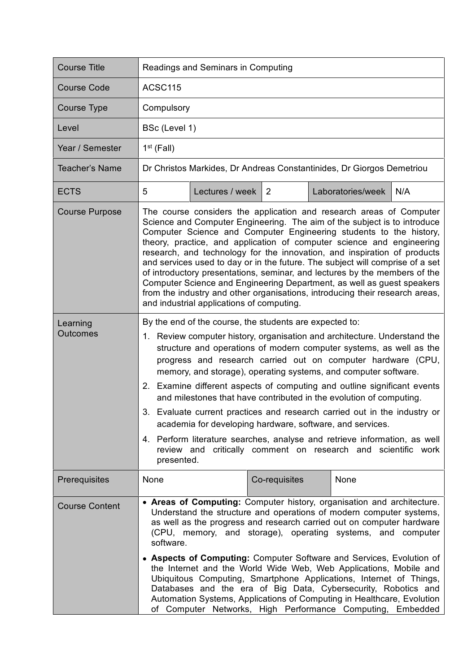| <b>Course Title</b>         | Readings and Seminars in Computing                                                                                                                                                                                                                                                                                                                                                                                                                                                                                                                                                                                                                                                                                                                                                                      |                 |                |  |                   |     |
|-----------------------------|---------------------------------------------------------------------------------------------------------------------------------------------------------------------------------------------------------------------------------------------------------------------------------------------------------------------------------------------------------------------------------------------------------------------------------------------------------------------------------------------------------------------------------------------------------------------------------------------------------------------------------------------------------------------------------------------------------------------------------------------------------------------------------------------------------|-----------------|----------------|--|-------------------|-----|
| <b>Course Code</b>          | ACSC115                                                                                                                                                                                                                                                                                                                                                                                                                                                                                                                                                                                                                                                                                                                                                                                                 |                 |                |  |                   |     |
| <b>Course Type</b>          | Compulsory                                                                                                                                                                                                                                                                                                                                                                                                                                                                                                                                                                                                                                                                                                                                                                                              |                 |                |  |                   |     |
| Level                       | BSc (Level 1)                                                                                                                                                                                                                                                                                                                                                                                                                                                                                                                                                                                                                                                                                                                                                                                           |                 |                |  |                   |     |
| Year / Semester             | $1st$ (Fall)                                                                                                                                                                                                                                                                                                                                                                                                                                                                                                                                                                                                                                                                                                                                                                                            |                 |                |  |                   |     |
| Teacher's Name              | Dr Christos Markides, Dr Andreas Constantinides, Dr Giorgos Demetriou                                                                                                                                                                                                                                                                                                                                                                                                                                                                                                                                                                                                                                                                                                                                   |                 |                |  |                   |     |
| <b>ECTS</b>                 | 5                                                                                                                                                                                                                                                                                                                                                                                                                                                                                                                                                                                                                                                                                                                                                                                                       | Lectures / week | $\overline{2}$ |  | Laboratories/week | N/A |
| <b>Course Purpose</b>       | The course considers the application and research areas of Computer<br>Science and Computer Engineering. The aim of the subject is to introduce<br>Computer Science and Computer Engineering students to the history,<br>theory, practice, and application of computer science and engineering<br>research, and technology for the innovation, and inspiration of products<br>and services used to day or in the future. The subject will comprise of a set<br>of introductory presentations, seminar, and lectures by the members of the<br>Computer Science and Engineering Department, as well as guest speakers<br>from the industry and other organisations, introducing their research areas,<br>and industrial applications of computing.                                                        |                 |                |  |                   |     |
| Learning<br><b>Outcomes</b> | By the end of the course, the students are expected to:<br>1. Review computer history, organisation and architecture. Understand the<br>structure and operations of modern computer systems, as well as the<br>progress and research carried out on computer hardware (CPU,<br>memory, and storage), operating systems, and computer software.<br>2. Examine different aspects of computing and outline significant events<br>and milestones that have contributed in the evolution of computing.<br>3. Evaluate current practices and research carried out in the industry or<br>academia for developing hardware, software, and services.<br>4. Perform literature searches, analyse and retrieve information, as well<br>review and critically comment on research and scientific work<br>presented. |                 |                |  |                   |     |
| Prerequisites               | None                                                                                                                                                                                                                                                                                                                                                                                                                                                                                                                                                                                                                                                                                                                                                                                                    |                 | Co-requisites  |  | None              |     |
| <b>Course Content</b>       | • Areas of Computing: Computer history, organisation and architecture.<br>Understand the structure and operations of modern computer systems,<br>as well as the progress and research carried out on computer hardware<br>(CPU, memory, and storage), operating systems, and computer<br>software.<br>• Aspects of Computing: Computer Software and Services, Evolution of<br>the Internet and the World Wide Web, Web Applications, Mobile and<br>Ubiquitous Computing, Smartphone Applications, Internet of Things,<br>Databases and the era of Big Data, Cybersecurity, Robotics and<br>Automation Systems, Applications of Computing in Healthcare, Evolution<br>of Computer Networks, High Performance Computing, Embedded                                                                         |                 |                |  |                   |     |